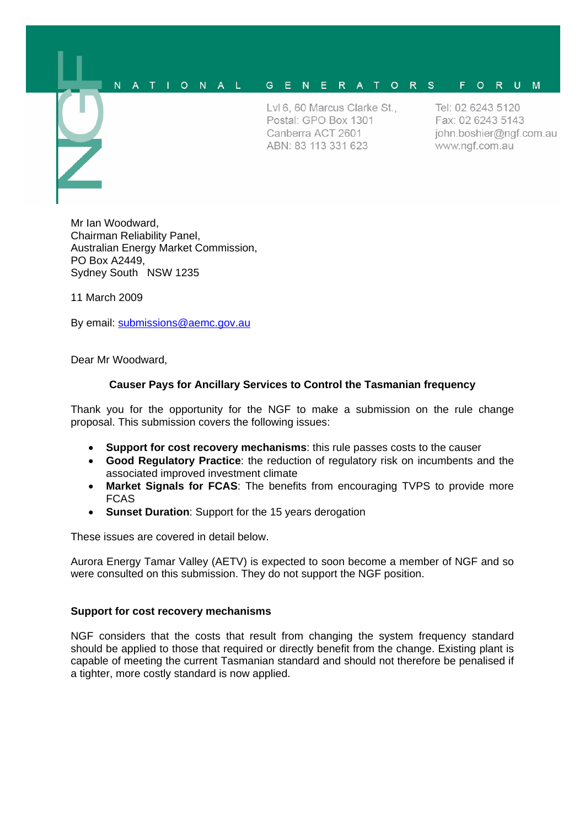#### N A T I O N A L G E N E R A T O R S F O R U M

LvI 6, 60 Marcus Clarke St., Postal: GPO Box 1301 Canberra ACT 2601 ABN: 83 113 331 623

Tel: 02 6243 5120 Fax: 02 6243 5143 john.boshier@ngf.com.au www.ngf.com.au

Mr Ian Woodward, Chairman Reliability Panel, Australian Energy Market Commission, PO Box A2449, Sydney South NSW 1235

11 March 2009

By email: [submissions@aemc.gov.au](mailto:submissions@aemc.gov.au)

Dear Mr Woodward,

# **Causer Pays for Ancillary Services to Control the Tasmanian frequency**

Thank you for the opportunity for the NGF to make a submission on the rule change proposal. This submission covers the following issues:

- **Support for cost recovery mechanisms**: this rule passes costs to the causer
- **Good Regulatory Practice**: the reduction of regulatory risk on incumbents and the associated improved investment climate
- **Market Signals for FCAS**: The benefits from encouraging TVPS to provide more FCAS
- **Sunset Duration**: Support for the 15 years derogation

These issues are covered in detail below.

Aurora Energy Tamar Valley (AETV) is expected to soon become a member of NGF and so were consulted on this submission. They do not support the NGF position.

#### **Support for cost recovery mechanisms**

NGF considers that the costs that result from changing the system frequency standard should be applied to those that required or directly benefit from the change. Existing plant is capable of meeting the current Tasmanian standard and should not therefore be penalised if a tighter, more costly standard is now applied.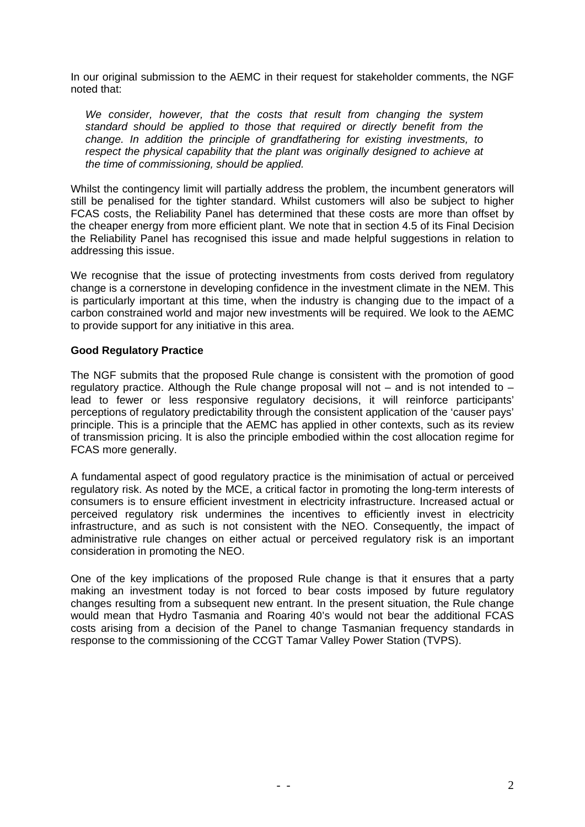In our original submission to the AEMC in their request for stakeholder comments, the NGF noted that:

*We consider, however, that the costs that result from changing the system standard should be applied to those that required or directly benefit from the change. In addition the principle of grandfathering for existing investments, to respect the physical capability that the plant was originally designed to achieve at the time of commissioning, should be applied.* 

Whilst the contingency limit will partially address the problem, the incumbent generators will still be penalised for the tighter standard. Whilst customers will also be subject to higher FCAS costs, the Reliability Panel has determined that these costs are more than offset by the cheaper energy from more efficient plant. We note that in section 4.5 of its Final Decision the Reliability Panel has recognised this issue and made helpful suggestions in relation to addressing this issue.

We recognise that the issue of protecting investments from costs derived from regulatory change is a cornerstone in developing confidence in the investment climate in the NEM. This is particularly important at this time, when the industry is changing due to the impact of a carbon constrained world and major new investments will be required. We look to the AEMC to provide support for any initiative in this area.

## **Good Regulatory Practice**

The NGF submits that the proposed Rule change is consistent with the promotion of good regulatory practice. Although the Rule change proposal will not  $-$  and is not intended to  $$ lead to fewer or less responsive regulatory decisions, it will reinforce participants' perceptions of regulatory predictability through the consistent application of the 'causer pays' principle. This is a principle that the AEMC has applied in other contexts, such as its review of transmission pricing. It is also the principle embodied within the cost allocation regime for FCAS more generally.

A fundamental aspect of good regulatory practice is the minimisation of actual or perceived regulatory risk. As noted by the MCE, a critical factor in promoting the long-term interests of consumers is to ensure efficient investment in electricity infrastructure. Increased actual or perceived regulatory risk undermines the incentives to efficiently invest in electricity infrastructure, and as such is not consistent with the NEO. Consequently, the impact of administrative rule changes on either actual or perceived regulatory risk is an important consideration in promoting the NEO.

One of the key implications of the proposed Rule change is that it ensures that a party making an investment today is not forced to bear costs imposed by future regulatory changes resulting from a subsequent new entrant. In the present situation, the Rule change would mean that Hydro Tasmania and Roaring 40's would not bear the additional FCAS costs arising from a decision of the Panel to change Tasmanian frequency standards in response to the commissioning of the CCGT Tamar Valley Power Station (TVPS).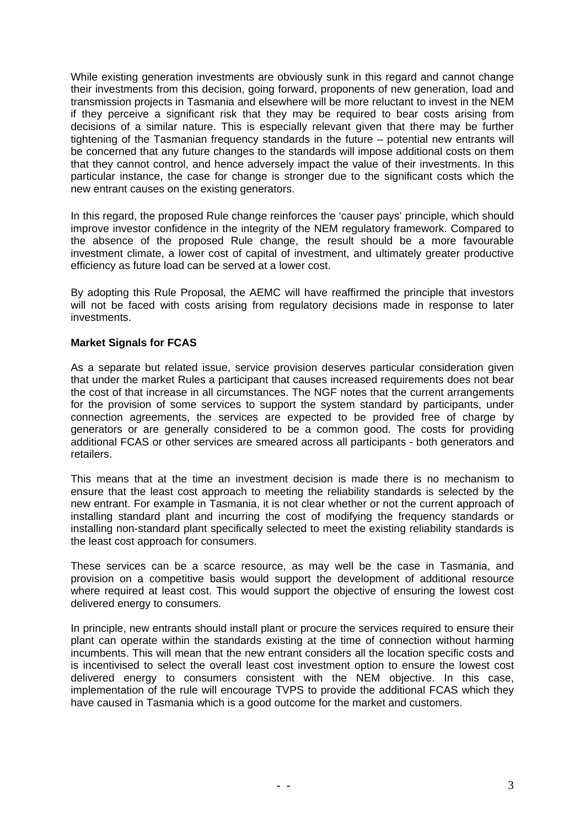While existing generation investments are obviously sunk in this regard and cannot change their investments from this decision, going forward, proponents of new generation, load and transmission projects in Tasmania and elsewhere will be more reluctant to invest in the NEM if they perceive a significant risk that they may be required to bear costs arising from decisions of a similar nature. This is especially relevant given that there may be further tightening of the Tasmanian frequency standards in the future – potential new entrants will be concerned that any future changes to the standards will impose additional costs on them that they cannot control, and hence adversely impact the value of their investments. In this particular instance, the case for change is stronger due to the significant costs which the new entrant causes on the existing generators.

In this regard, the proposed Rule change reinforces the 'causer pays' principle, which should improve investor confidence in the integrity of the NEM regulatory framework. Compared to the absence of the proposed Rule change, the result should be a more favourable investment climate, a lower cost of capital of investment, and ultimately greater productive efficiency as future load can be served at a lower cost.

By adopting this Rule Proposal, the AEMC will have reaffirmed the principle that investors will not be faced with costs arising from regulatory decisions made in response to later investments.

## **Market Signals for FCAS**

As a separate but related issue, service provision deserves particular consideration given that under the market Rules a participant that causes increased requirements does not bear the cost of that increase in all circumstances. The NGF notes that the current arrangements for the provision of some services to support the system standard by participants, under connection agreements, the services are expected to be provided free of charge by generators or are generally considered to be a common good. The costs for providing additional FCAS or other services are smeared across all participants - both generators and retailers.

This means that at the time an investment decision is made there is no mechanism to ensure that the least cost approach to meeting the reliability standards is selected by the new entrant. For example in Tasmania, it is not clear whether or not the current approach of installing standard plant and incurring the cost of modifying the frequency standards or installing non-standard plant specifically selected to meet the existing reliability standards is the least cost approach for consumers.

These services can be a scarce resource, as may well be the case in Tasmania, and provision on a competitive basis would support the development of additional resource where required at least cost. This would support the objective of ensuring the lowest cost delivered energy to consumers.

In principle, new entrants should install plant or procure the services required to ensure their plant can operate within the standards existing at the time of connection without harming incumbents. This will mean that the new entrant considers all the location specific costs and is incentivised to select the overall least cost investment option to ensure the lowest cost delivered energy to consumers consistent with the NEM objective. In this case, implementation of the rule will encourage TVPS to provide the additional FCAS which they have caused in Tasmania which is a good outcome for the market and customers.